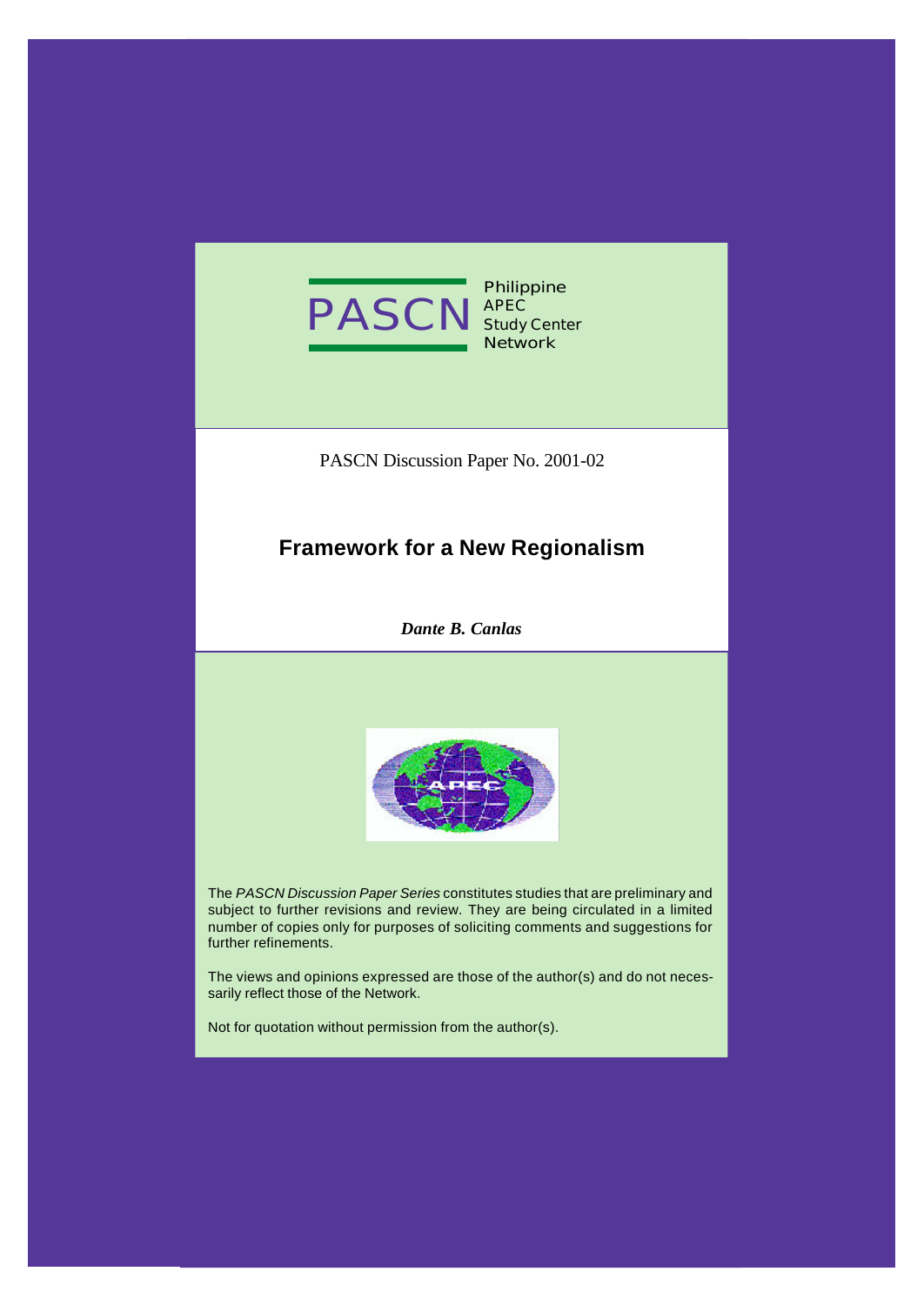

**Philippine APEC Study Center Network**

PASCN Discussion Paper No. 2001-02

## **Framework for a New Regionalism**

*Dante B. Canlas*



The *PASCN Discussion Paper Series* constitutes studies that are preliminary and subject to further revisions and review. They are being circulated in a limited number of copies only for purposes of soliciting comments and suggestions for further refinements.

The views and opinions expressed are those of the author(s) and do not necessarily reflect those of the Network.

Not for quotation without permission from the author(s).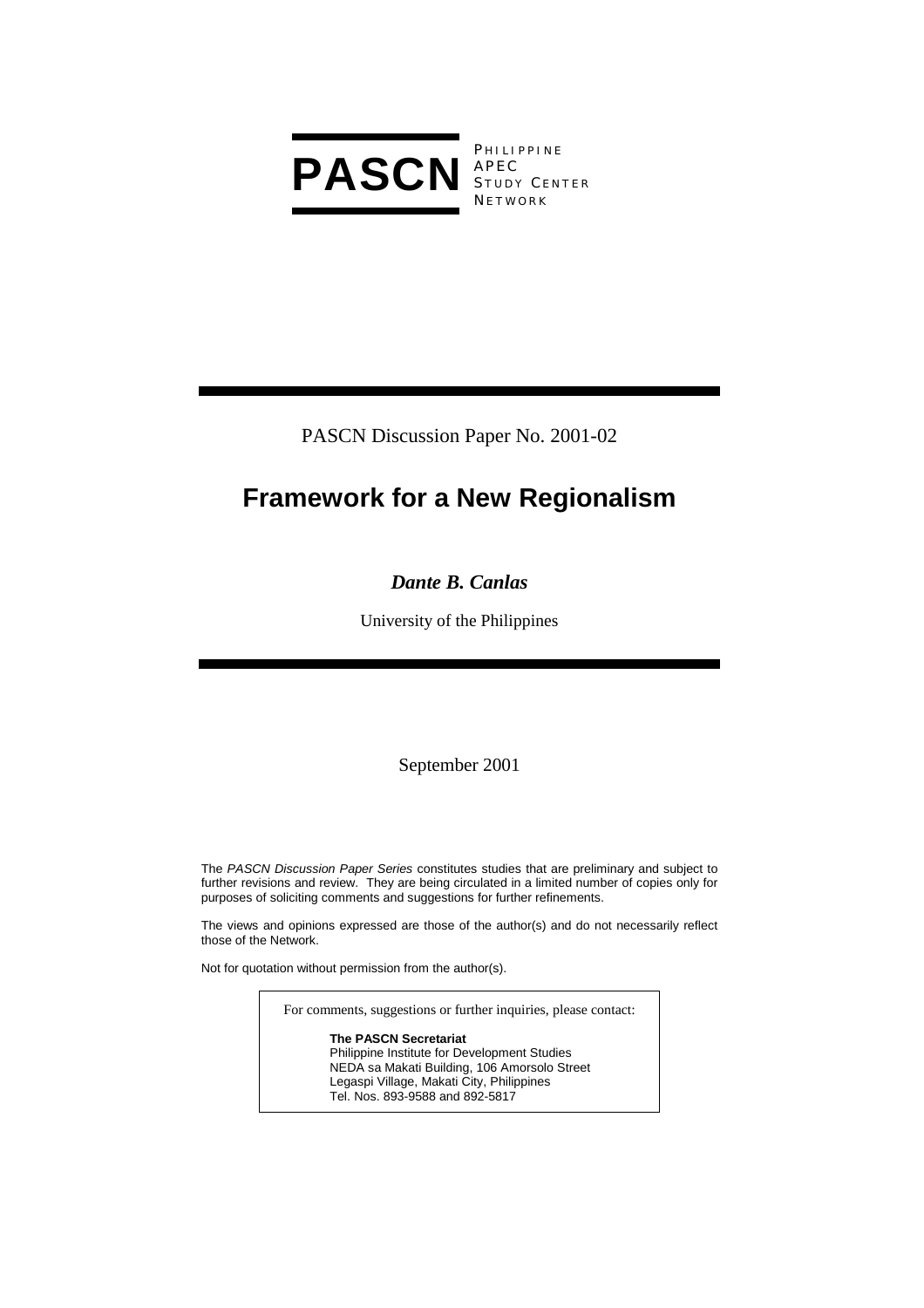

**PHILIPPINE** S TUDY C ENTER **NETWORK** 

PASCN Discussion Paper No. 2001-02

# **Framework for a New Regionalism**

## *Dante B. Canlas*

University of the Philippines

September 2001

The *PASCN Discussion Paper Series* constitutes studies that are preliminary and subject to further revisions and review. They are being circulated in a limited number of copies only for purposes of soliciting comments and suggestions for further refinements.

The views and opinions expressed are those of the author(s) and do not necessarily reflect those of the Network.

Not for quotation without permission from the author(s).

For comments, suggestions or further inquiries, please contact:

**The PASCN Secretariat** Philippine Institute for Development Studies NEDA sa Makati Building, 106 Amorsolo Street Legaspi Village, Makati City, Philippines Tel. Nos. 893-9588 and 892-5817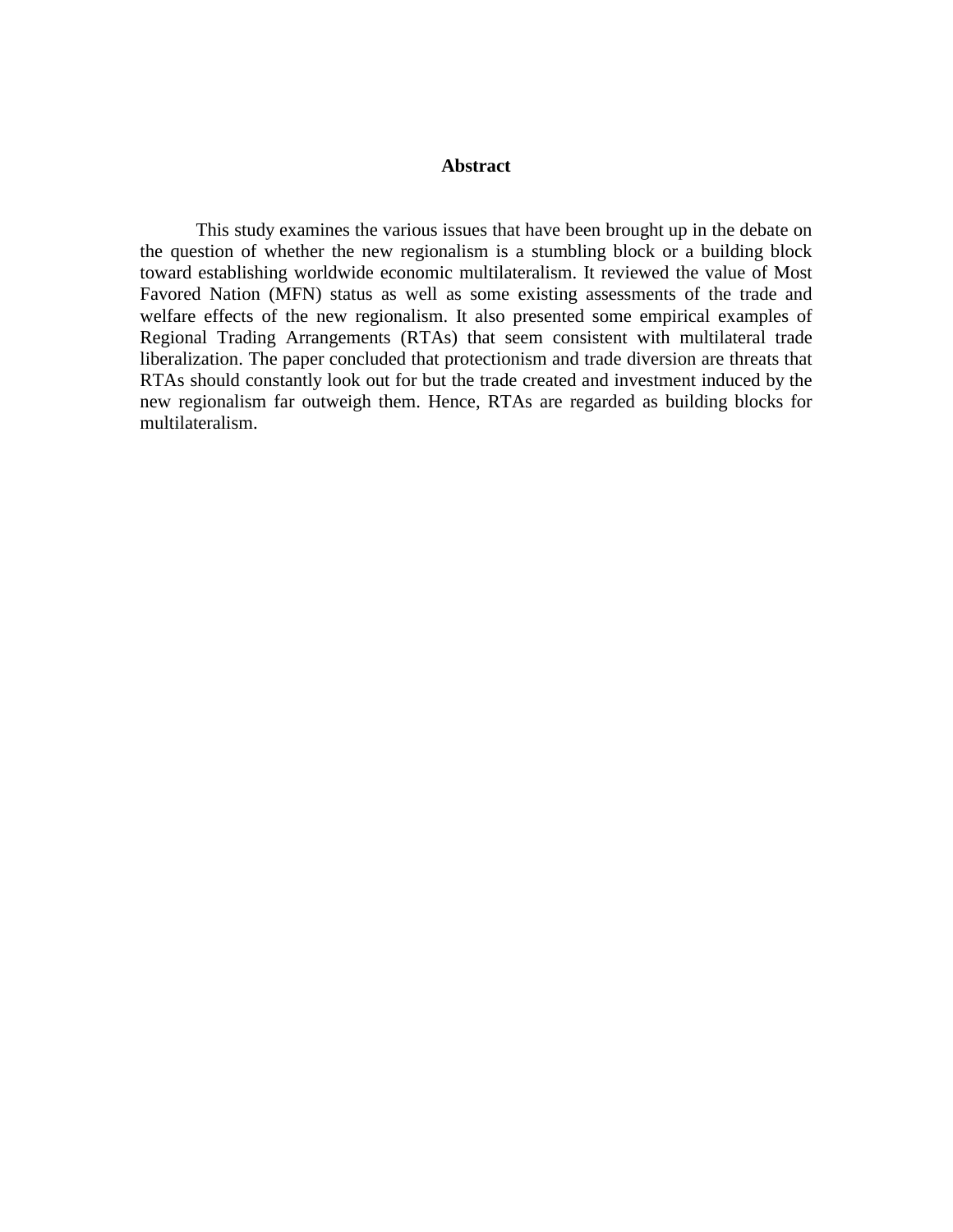#### **Abstract**

 This study examines the various issues that have been brought up in the debate on the question of whether the new regionalism is a stumbling block or a building block toward establishing worldwide economic multilateralism. It reviewed the value of Most Favored Nation (MFN) status as well as some existing assessments of the trade and welfare effects of the new regionalism. It also presented some empirical examples of Regional Trading Arrangements (RTAs) that seem consistent with multilateral trade liberalization. The paper concluded that protectionism and trade diversion are threats that RTAs should constantly look out for but the trade created and investment induced by the new regionalism far outweigh them. Hence, RTAs are regarded as building blocks for multilateralism.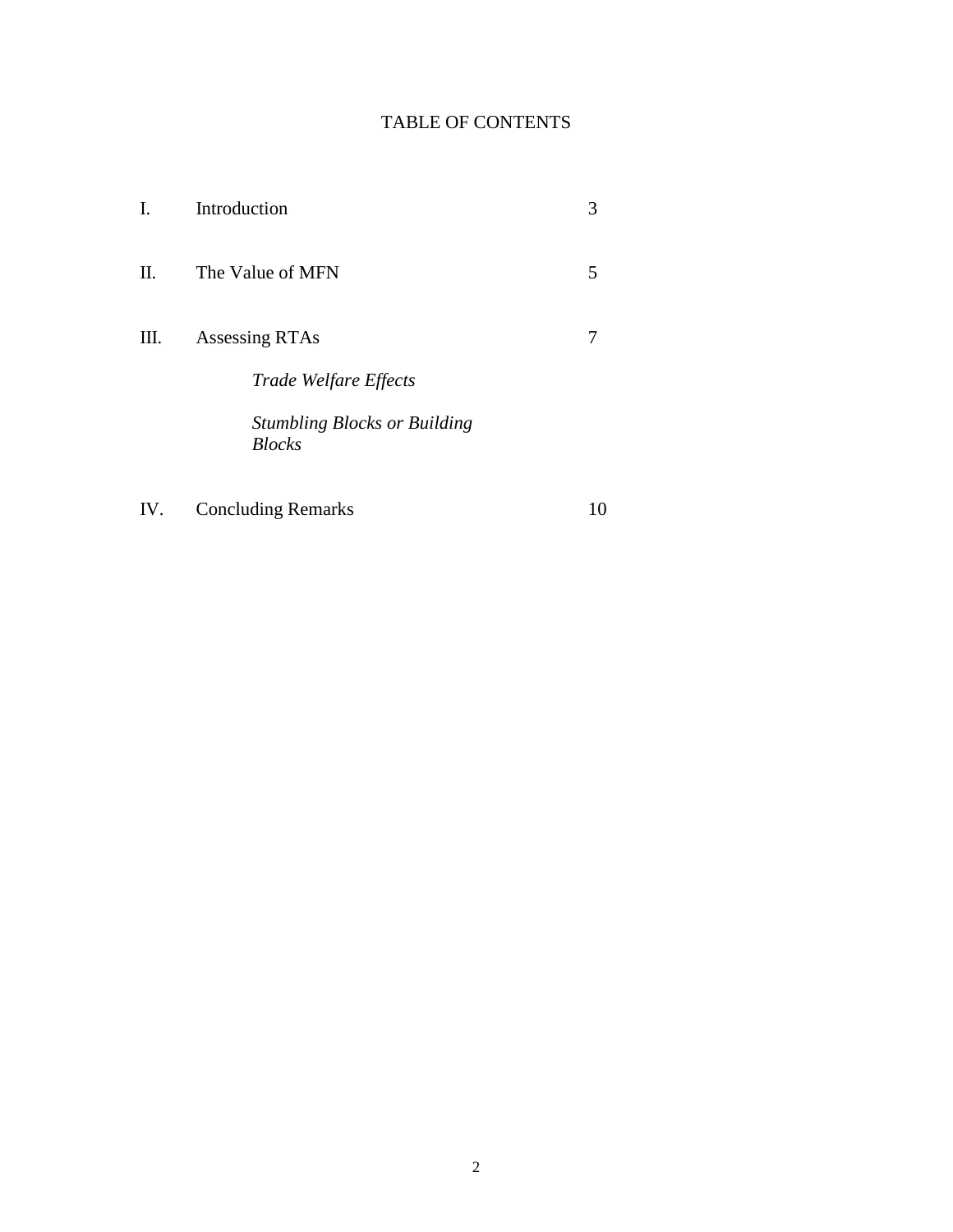## TABLE OF CONTENTS

| I.  | Introduction                                         |    |
|-----|------------------------------------------------------|----|
| П.  | The Value of MFN                                     | 5  |
| Ш.  | Assessing RTAs                                       |    |
|     | Trade Welfare Effects                                |    |
|     | <b>Stumbling Blocks or Building</b><br><b>Blocks</b> |    |
| IV. | <b>Concluding Remarks</b>                            | 10 |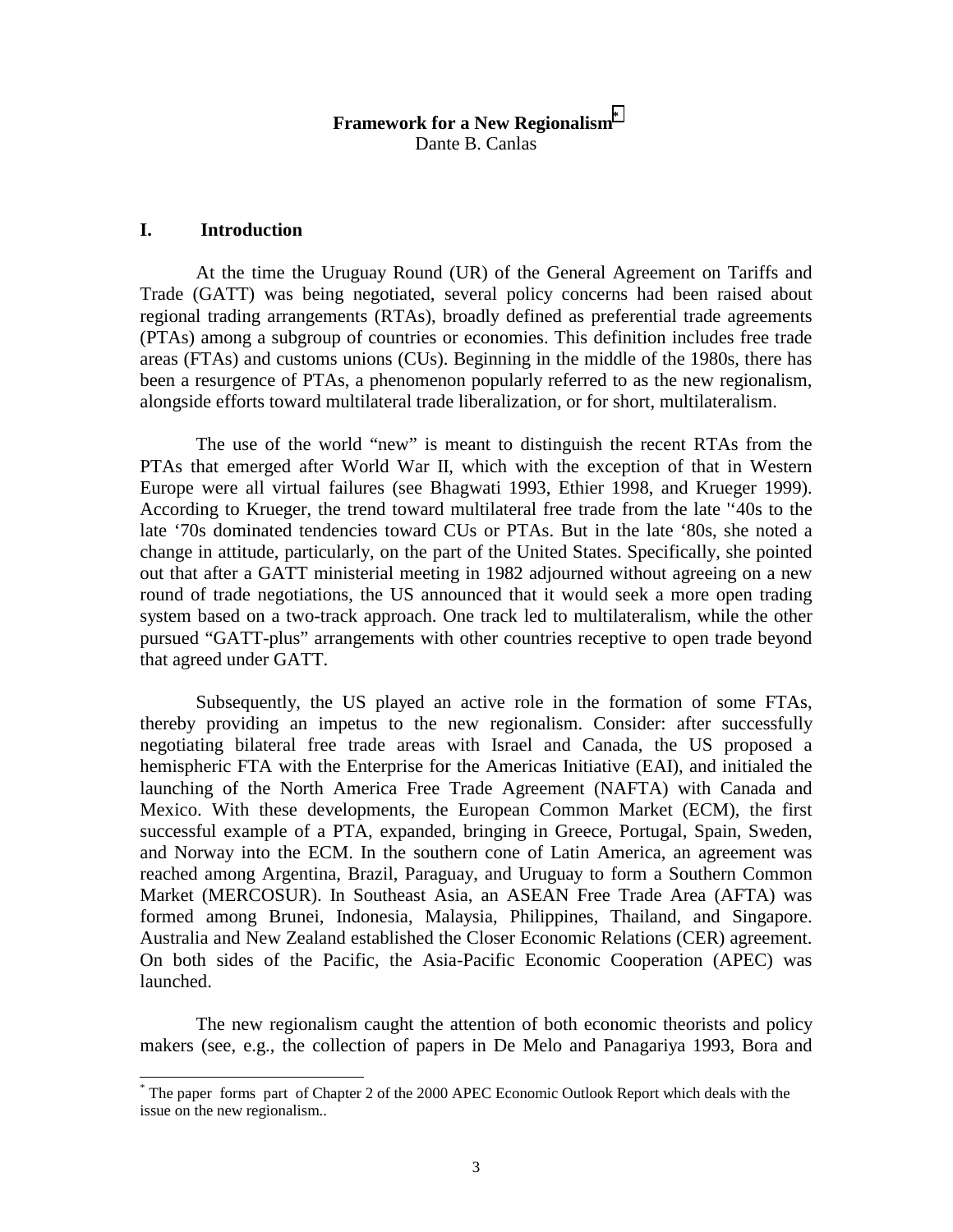### **Framework for a New Regionalism\*** Dante B. Canlas

#### **I. Introduction**

 At the time the Uruguay Round (UR) of the General Agreement on Tariffs and Trade (GATT) was being negotiated, several policy concerns had been raised about regional trading arrangements (RTAs), broadly defined as preferential trade agreements (PTAs) among a subgroup of countries or economies. This definition includes free trade areas (FTAs) and customs unions (CUs). Beginning in the middle of the 1980s, there has been a resurgence of PTAs, a phenomenon popularly referred to as the new regionalism, alongside efforts toward multilateral trade liberalization, or for short, multilateralism.

 The use of the world "new" is meant to distinguish the recent RTAs from the PTAs that emerged after World War II, which with the exception of that in Western Europe were all virtual failures (see Bhagwati 1993, Ethier 1998, and Krueger 1999). According to Krueger, the trend toward multilateral free trade from the late ''40s to the late '70s dominated tendencies toward CUs or PTAs. But in the late '80s, she noted a change in attitude, particularly, on the part of the United States. Specifically, she pointed out that after a GATT ministerial meeting in 1982 adjourned without agreeing on a new round of trade negotiations, the US announced that it would seek a more open trading system based on a two-track approach. One track led to multilateralism, while the other pursued "GATT-plus" arrangements with other countries receptive to open trade beyond that agreed under GATT.

Subsequently, the US played an active role in the formation of some FTAs, thereby providing an impetus to the new regionalism. Consider: after successfully negotiating bilateral free trade areas with Israel and Canada, the US proposed a hemispheric FTA with the Enterprise for the Americas Initiative (EAI), and initialed the launching of the North America Free Trade Agreement (NAFTA) with Canada and Mexico. With these developments, the European Common Market (ECM), the first successful example of a PTA, expanded, bringing in Greece, Portugal, Spain, Sweden, and Norway into the ECM. In the southern cone of Latin America, an agreement was reached among Argentina, Brazil, Paraguay, and Uruguay to form a Southern Common Market (MERCOSUR). In Southeast Asia, an ASEAN Free Trade Area (AFTA) was formed among Brunei, Indonesia, Malaysia, Philippines, Thailand, and Singapore. Australia and New Zealand established the Closer Economic Relations (CER) agreement. On both sides of the Pacific, the Asia-Pacific Economic Cooperation (APEC) was launched.

The new regionalism caught the attention of both economic theorists and policy makers (see, e.g., the collection of papers in De Melo and Panagariya 1993, Bora and

 \* The paper forms part of Chapter 2 of the 2000 APEC Economic Outlook Report which deals with the issue on the new regionalism..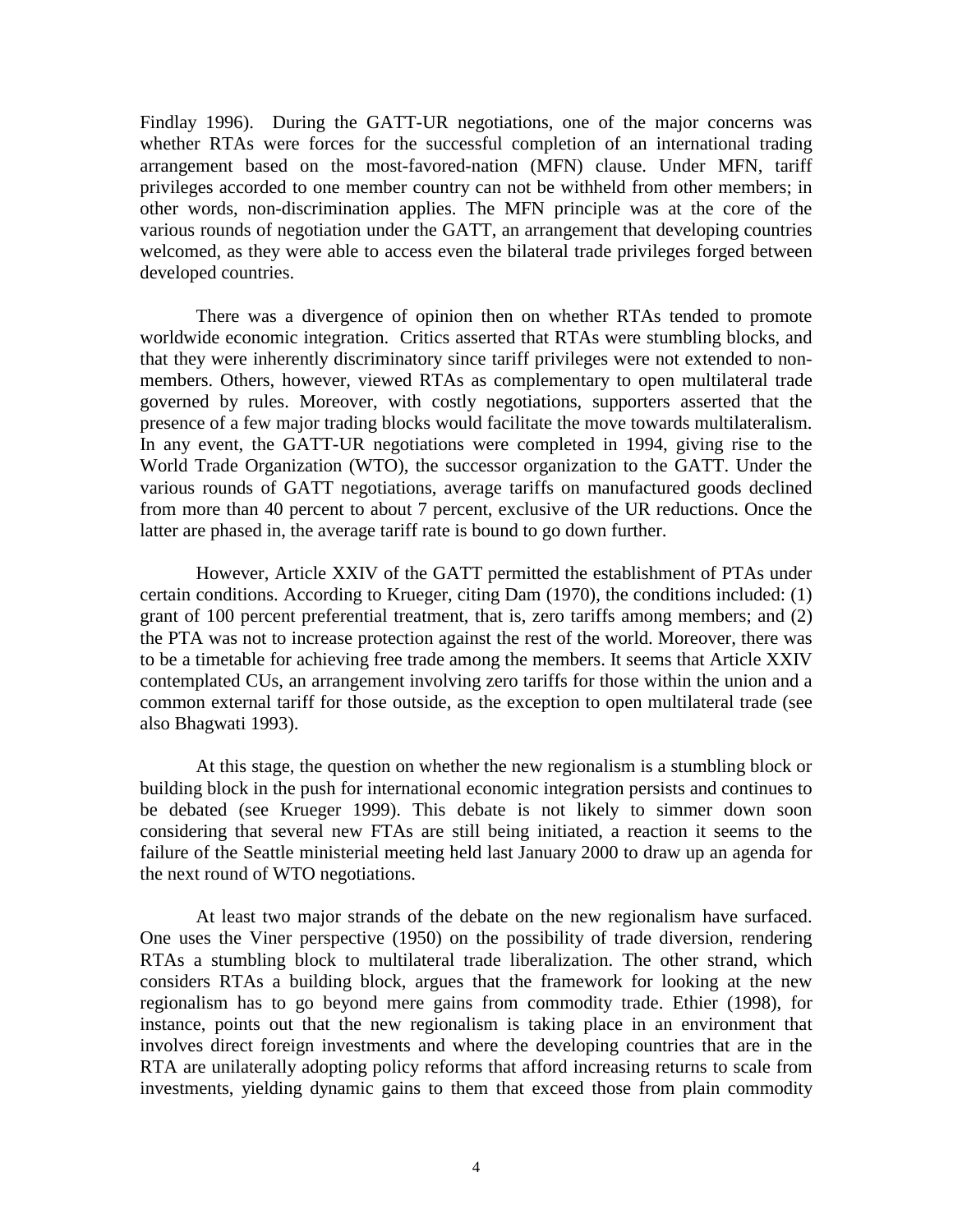Findlay 1996). During the GATT-UR negotiations, one of the major concerns was whether RTAs were forces for the successful completion of an international trading arrangement based on the most-favored-nation (MFN) clause. Under MFN, tariff privileges accorded to one member country can not be withheld from other members; in other words, non-discrimination applies. The MFN principle was at the core of the various rounds of negotiation under the GATT, an arrangement that developing countries welcomed, as they were able to access even the bilateral trade privileges forged between developed countries.

There was a divergence of opinion then on whether RTAs tended to promote worldwide economic integration. Critics asserted that RTAs were stumbling blocks, and that they were inherently discriminatory since tariff privileges were not extended to nonmembers. Others, however, viewed RTAs as complementary to open multilateral trade governed by rules. Moreover, with costly negotiations, supporters asserted that the presence of a few major trading blocks would facilitate the move towards multilateralism. In any event, the GATT-UR negotiations were completed in 1994, giving rise to the World Trade Organization (WTO), the successor organization to the GATT. Under the various rounds of GATT negotiations, average tariffs on manufactured goods declined from more than 40 percent to about 7 percent, exclusive of the UR reductions. Once the latter are phased in, the average tariff rate is bound to go down further.

However, Article XXIV of the GATT permitted the establishment of PTAs under certain conditions. According to Krueger, citing Dam (1970), the conditions included: (1) grant of 100 percent preferential treatment, that is, zero tariffs among members; and (2) the PTA was not to increase protection against the rest of the world. Moreover, there was to be a timetable for achieving free trade among the members. It seems that Article XXIV contemplated CUs, an arrangement involving zero tariffs for those within the union and a common external tariff for those outside, as the exception to open multilateral trade (see also Bhagwati 1993).

At this stage, the question on whether the new regionalism is a stumbling block or building block in the push for international economic integration persists and continues to be debated (see Krueger 1999). This debate is not likely to simmer down soon considering that several new FTAs are still being initiated, a reaction it seems to the failure of the Seattle ministerial meeting held last January 2000 to draw up an agenda for the next round of WTO negotiations.

At least two major strands of the debate on the new regionalism have surfaced. One uses the Viner perspective (1950) on the possibility of trade diversion, rendering RTAs a stumbling block to multilateral trade liberalization. The other strand, which considers RTAs a building block, argues that the framework for looking at the new regionalism has to go beyond mere gains from commodity trade. Ethier (1998), for instance, points out that the new regionalism is taking place in an environment that involves direct foreign investments and where the developing countries that are in the RTA are unilaterally adopting policy reforms that afford increasing returns to scale from investments, yielding dynamic gains to them that exceed those from plain commodity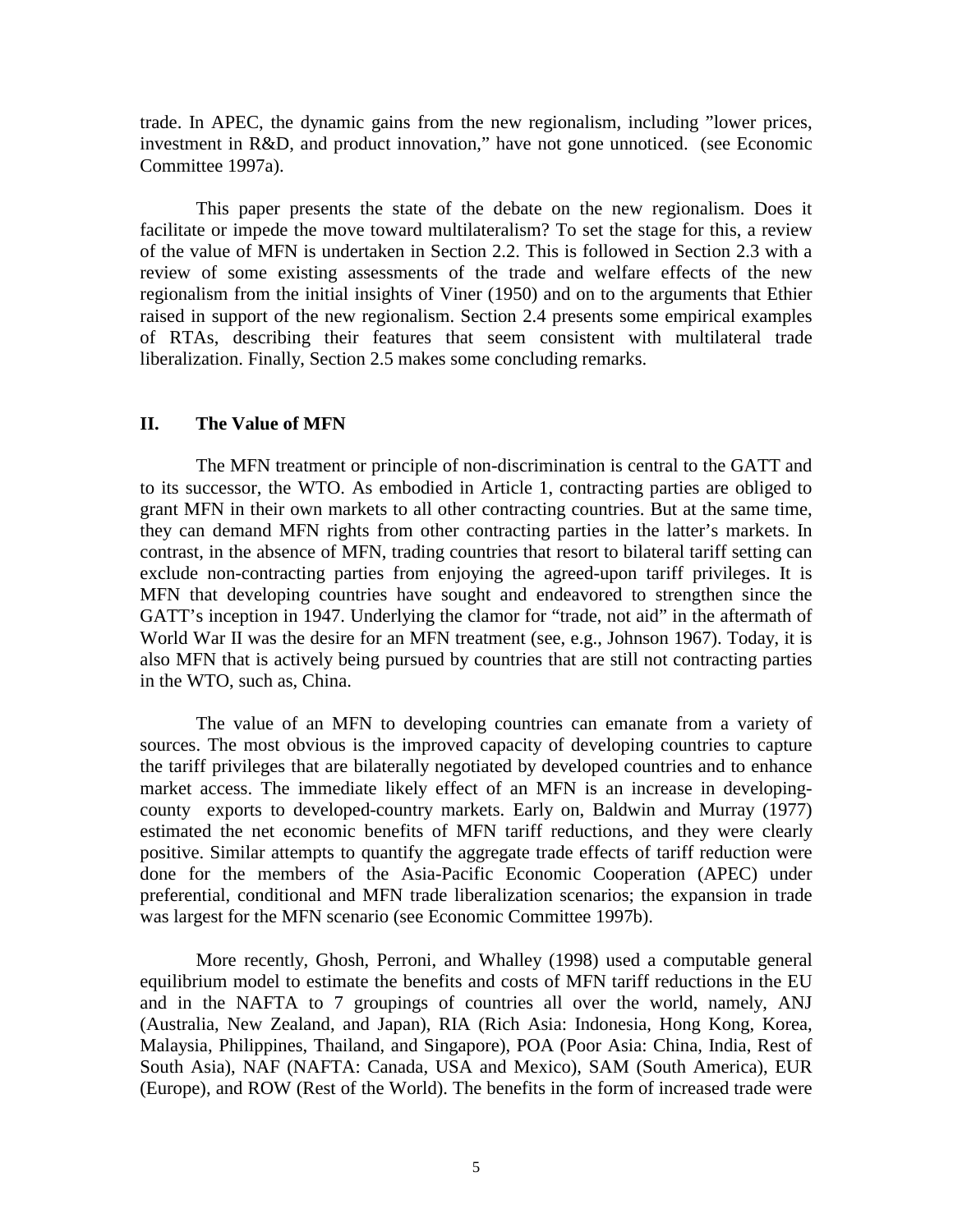trade. In APEC, the dynamic gains from the new regionalism, including "lower prices, investment in R&D, and product innovation," have not gone unnoticed. (see Economic Committee 1997a).

This paper presents the state of the debate on the new regionalism. Does it facilitate or impede the move toward multilateralism? To set the stage for this, a review of the value of MFN is undertaken in Section 2.2. This is followed in Section 2.3 with a review of some existing assessments of the trade and welfare effects of the new regionalism from the initial insights of Viner (1950) and on to the arguments that Ethier raised in support of the new regionalism. Section 2.4 presents some empirical examples of RTAs, describing their features that seem consistent with multilateral trade liberalization. Finally, Section 2.5 makes some concluding remarks.

#### **II. The Value of MFN**

 The MFN treatment or principle of non-discrimination is central to the GATT and to its successor, the WTO. As embodied in Article 1, contracting parties are obliged to grant MFN in their own markets to all other contracting countries. But at the same time, they can demand MFN rights from other contracting parties in the latter's markets. In contrast, in the absence of MFN, trading countries that resort to bilateral tariff setting can exclude non-contracting parties from enjoying the agreed-upon tariff privileges. It is MFN that developing countries have sought and endeavored to strengthen since the GATT's inception in 1947. Underlying the clamor for "trade, not aid" in the aftermath of World War II was the desire for an MFN treatment (see, e.g., Johnson 1967). Today, it is also MFN that is actively being pursued by countries that are still not contracting parties in the WTO, such as, China.

 The value of an MFN to developing countries can emanate from a variety of sources. The most obvious is the improved capacity of developing countries to capture the tariff privileges that are bilaterally negotiated by developed countries and to enhance market access. The immediate likely effect of an MFN is an increase in developingcounty exports to developed-country markets. Early on, Baldwin and Murray (1977) estimated the net economic benefits of MFN tariff reductions, and they were clearly positive. Similar attempts to quantify the aggregate trade effects of tariff reduction were done for the members of the Asia-Pacific Economic Cooperation (APEC) under preferential, conditional and MFN trade liberalization scenarios; the expansion in trade was largest for the MFN scenario (see Economic Committee 1997b).

More recently, Ghosh, Perroni, and Whalley (1998) used a computable general equilibrium model to estimate the benefits and costs of MFN tariff reductions in the EU and in the NAFTA to 7 groupings of countries all over the world, namely, ANJ (Australia, New Zealand, and Japan), RIA (Rich Asia: Indonesia, Hong Kong, Korea, Malaysia, Philippines, Thailand, and Singapore), POA (Poor Asia: China, India, Rest of South Asia), NAF (NAFTA: Canada, USA and Mexico), SAM (South America), EUR (Europe), and ROW (Rest of the World). The benefits in the form of increased trade were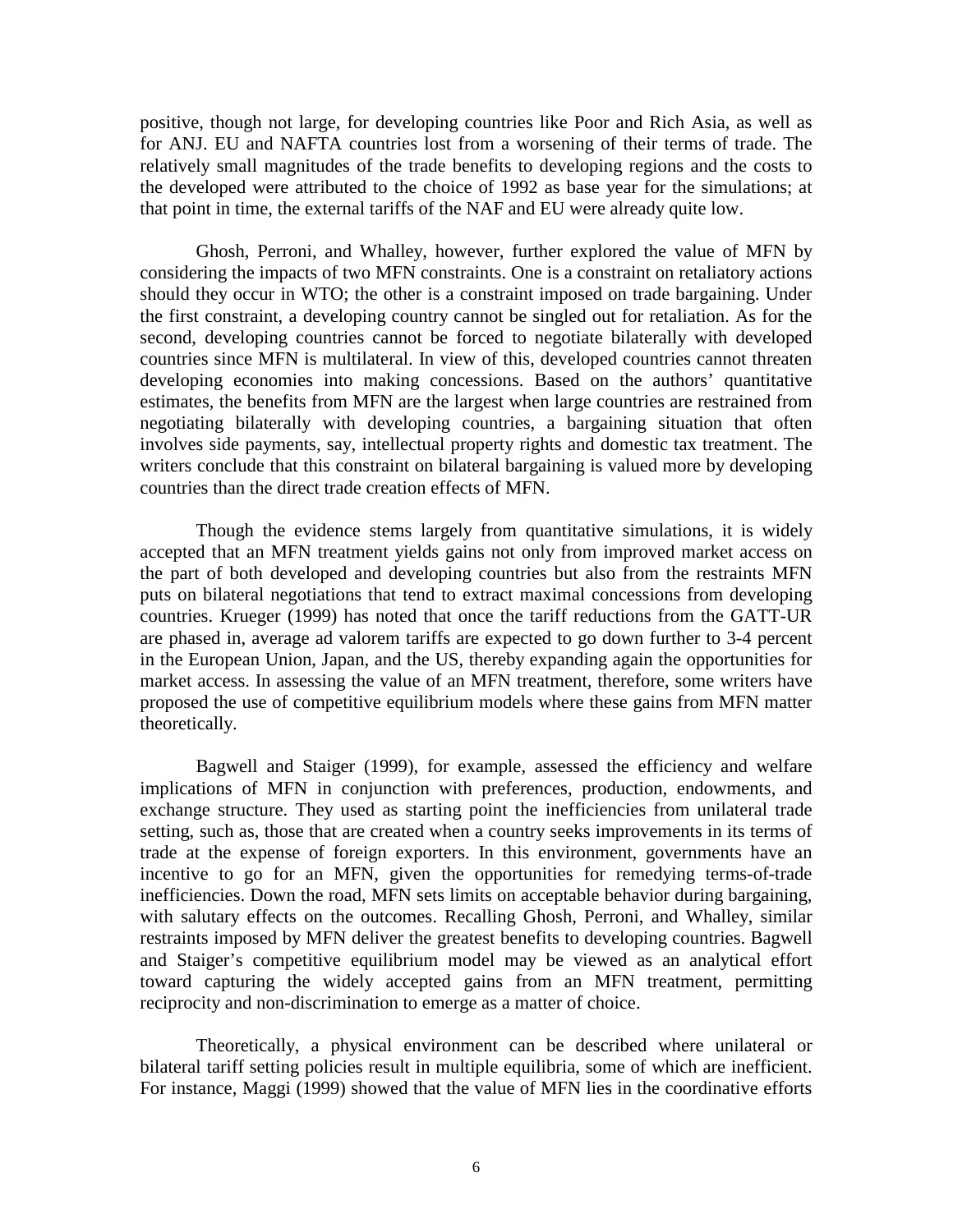positive, though not large, for developing countries like Poor and Rich Asia, as well as for ANJ. EU and NAFTA countries lost from a worsening of their terms of trade. The relatively small magnitudes of the trade benefits to developing regions and the costs to the developed were attributed to the choice of 1992 as base year for the simulations; at that point in time, the external tariffs of the NAF and EU were already quite low.

Ghosh, Perroni, and Whalley, however, further explored the value of MFN by considering the impacts of two MFN constraints. One is a constraint on retaliatory actions should they occur in WTO; the other is a constraint imposed on trade bargaining. Under the first constraint, a developing country cannot be singled out for retaliation. As for the second, developing countries cannot be forced to negotiate bilaterally with developed countries since MFN is multilateral. In view of this, developed countries cannot threaten developing economies into making concessions. Based on the authors' quantitative estimates, the benefits from MFN are the largest when large countries are restrained from negotiating bilaterally with developing countries, a bargaining situation that often involves side payments, say, intellectual property rights and domestic tax treatment. The writers conclude that this constraint on bilateral bargaining is valued more by developing countries than the direct trade creation effects of MFN.

Though the evidence stems largely from quantitative simulations, it is widely accepted that an MFN treatment yields gains not only from improved market access on the part of both developed and developing countries but also from the restraints MFN puts on bilateral negotiations that tend to extract maximal concessions from developing countries. Krueger (1999) has noted that once the tariff reductions from the GATT-UR are phased in, average ad valorem tariffs are expected to go down further to 3-4 percent in the European Union, Japan, and the US, thereby expanding again the opportunities for market access. In assessing the value of an MFN treatment, therefore, some writers have proposed the use of competitive equilibrium models where these gains from MFN matter theoretically.

Bagwell and Staiger (1999), for example, assessed the efficiency and welfare implications of MFN in conjunction with preferences, production, endowments, and exchange structure. They used as starting point the inefficiencies from unilateral trade setting, such as, those that are created when a country seeks improvements in its terms of trade at the expense of foreign exporters. In this environment, governments have an incentive to go for an MFN, given the opportunities for remedying terms-of-trade inefficiencies. Down the road, MFN sets limits on acceptable behavior during bargaining, with salutary effects on the outcomes. Recalling Ghosh, Perroni, and Whalley, similar restraints imposed by MFN deliver the greatest benefits to developing countries. Bagwell and Staiger's competitive equilibrium model may be viewed as an analytical effort toward capturing the widely accepted gains from an MFN treatment, permitting reciprocity and non-discrimination to emerge as a matter of choice.

Theoretically, a physical environment can be described where unilateral or bilateral tariff setting policies result in multiple equilibria, some of which are inefficient. For instance, Maggi (1999) showed that the value of MFN lies in the coordinative efforts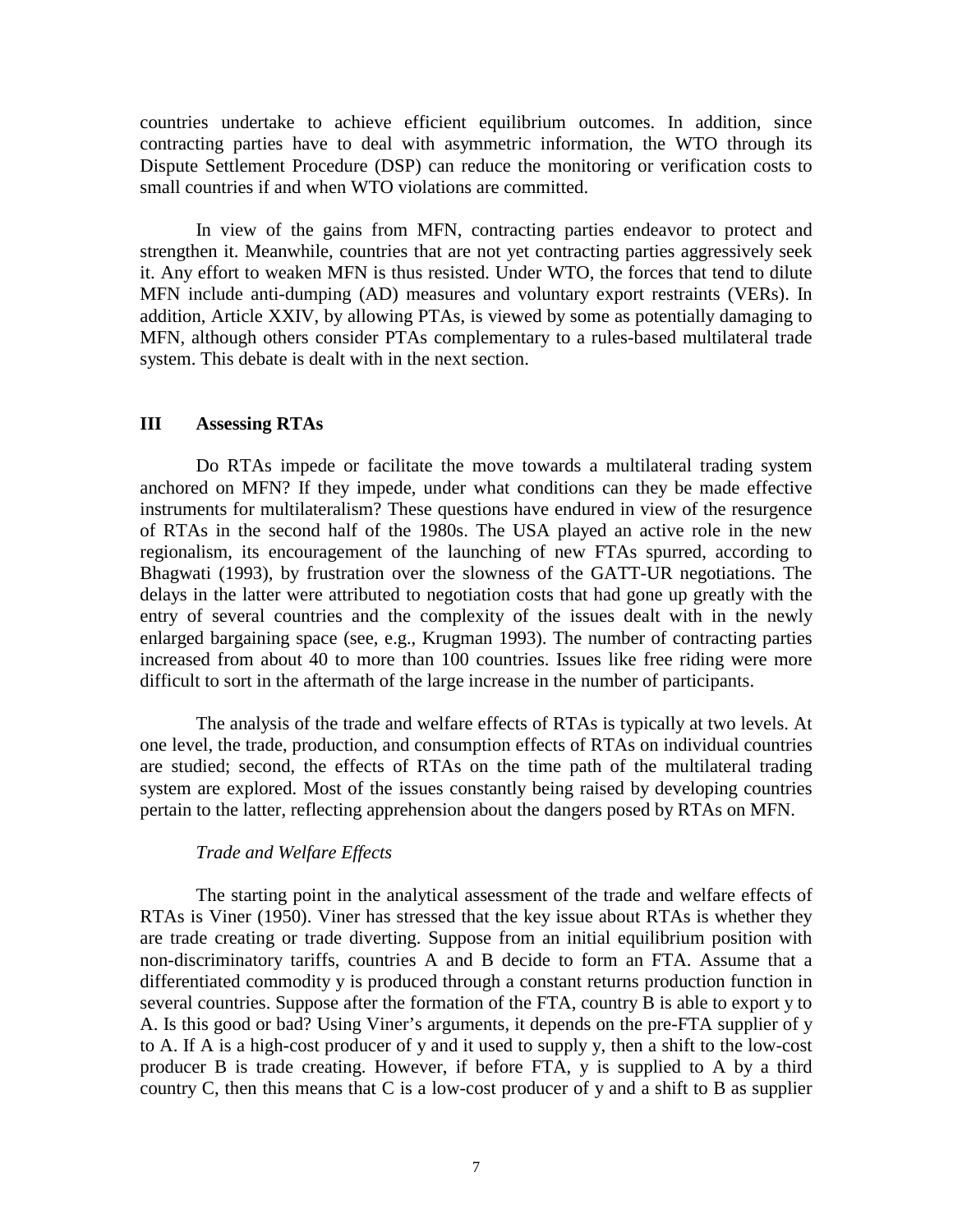countries undertake to achieve efficient equilibrium outcomes. In addition, since contracting parties have to deal with asymmetric information, the WTO through its Dispute Settlement Procedure (DSP) can reduce the monitoring or verification costs to small countries if and when WTO violations are committed.

In view of the gains from MFN, contracting parties endeavor to protect and strengthen it. Meanwhile, countries that are not yet contracting parties aggressively seek it. Any effort to weaken MFN is thus resisted. Under WTO, the forces that tend to dilute MFN include anti-dumping (AD) measures and voluntary export restraints (VERs). In addition, Article XXIV, by allowing PTAs, is viewed by some as potentially damaging to MFN, although others consider PTAs complementary to a rules-based multilateral trade system. This debate is dealt with in the next section.

#### **III Assessing RTAs**

 Do RTAs impede or facilitate the move towards a multilateral trading system anchored on MFN? If they impede, under what conditions can they be made effective instruments for multilateralism? These questions have endured in view of the resurgence of RTAs in the second half of the 1980s. The USA played an active role in the new regionalism, its encouragement of the launching of new FTAs spurred, according to Bhagwati (1993), by frustration over the slowness of the GATT-UR negotiations. The delays in the latter were attributed to negotiation costs that had gone up greatly with the entry of several countries and the complexity of the issues dealt with in the newly enlarged bargaining space (see, e.g., Krugman 1993). The number of contracting parties increased from about 40 to more than 100 countries. Issues like free riding were more difficult to sort in the aftermath of the large increase in the number of participants.

 The analysis of the trade and welfare effects of RTAs is typically at two levels. At one level, the trade, production, and consumption effects of RTAs on individual countries are studied; second, the effects of RTAs on the time path of the multilateral trading system are explored. Most of the issues constantly being raised by developing countries pertain to the latter, reflecting apprehension about the dangers posed by RTAs on MFN.

#### *Trade and Welfare Effects*

The starting point in the analytical assessment of the trade and welfare effects of RTAs is Viner (1950). Viner has stressed that the key issue about RTAs is whether they are trade creating or trade diverting. Suppose from an initial equilibrium position with non-discriminatory tariffs, countries A and B decide to form an FTA. Assume that a differentiated commodity y is produced through a constant returns production function in several countries. Suppose after the formation of the FTA, country B is able to export y to A. Is this good or bad? Using Viner's arguments, it depends on the pre-FTA supplier of y to A. If A is a high-cost producer of y and it used to supply y, then a shift to the low-cost producer B is trade creating. However, if before FTA, y is supplied to A by a third country C, then this means that C is a low-cost producer of y and a shift to B as supplier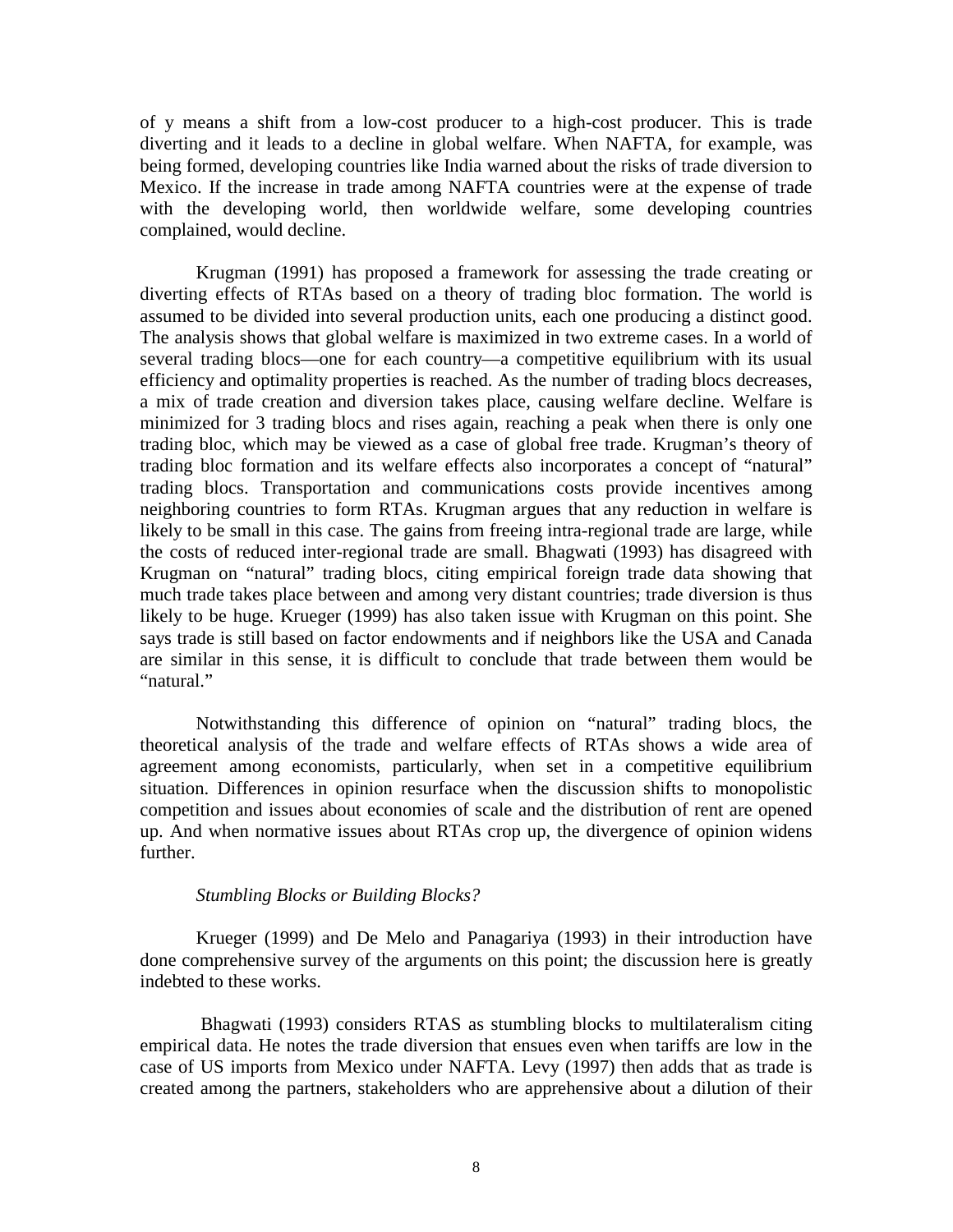of y means a shift from a low-cost producer to a high-cost producer. This is trade diverting and it leads to a decline in global welfare. When NAFTA, for example, was being formed, developing countries like India warned about the risks of trade diversion to Mexico. If the increase in trade among NAFTA countries were at the expense of trade with the developing world, then worldwide welfare, some developing countries complained, would decline.

 Krugman (1991) has proposed a framework for assessing the trade creating or diverting effects of RTAs based on a theory of trading bloc formation. The world is assumed to be divided into several production units, each one producing a distinct good. The analysis shows that global welfare is maximized in two extreme cases. In a world of several trading blocs—one for each country—a competitive equilibrium with its usual efficiency and optimality properties is reached. As the number of trading blocs decreases, a mix of trade creation and diversion takes place, causing welfare decline. Welfare is minimized for 3 trading blocs and rises again, reaching a peak when there is only one trading bloc, which may be viewed as a case of global free trade. Krugman's theory of trading bloc formation and its welfare effects also incorporates a concept of "natural" trading blocs. Transportation and communications costs provide incentives among neighboring countries to form RTAs. Krugman argues that any reduction in welfare is likely to be small in this case. The gains from freeing intra-regional trade are large, while the costs of reduced inter-regional trade are small. Bhagwati (1993) has disagreed with Krugman on "natural" trading blocs, citing empirical foreign trade data showing that much trade takes place between and among very distant countries; trade diversion is thus likely to be huge. Krueger (1999) has also taken issue with Krugman on this point. She says trade is still based on factor endowments and if neighbors like the USA and Canada are similar in this sense, it is difficult to conclude that trade between them would be "natural."

 Notwithstanding this difference of opinion on "natural" trading blocs, the theoretical analysis of the trade and welfare effects of RTAs shows a wide area of agreement among economists, particularly, when set in a competitive equilibrium situation. Differences in opinion resurface when the discussion shifts to monopolistic competition and issues about economies of scale and the distribution of rent are opened up. And when normative issues about RTAs crop up, the divergence of opinion widens further.

#### *Stumbling Blocks or Building Blocks?*

 Krueger (1999) and De Melo and Panagariya (1993) in their introduction have done comprehensive survey of the arguments on this point; the discussion here is greatly indebted to these works.

 Bhagwati (1993) considers RTAS as stumbling blocks to multilateralism citing empirical data. He notes the trade diversion that ensues even when tariffs are low in the case of US imports from Mexico under NAFTA. Levy (1997) then adds that as trade is created among the partners, stakeholders who are apprehensive about a dilution of their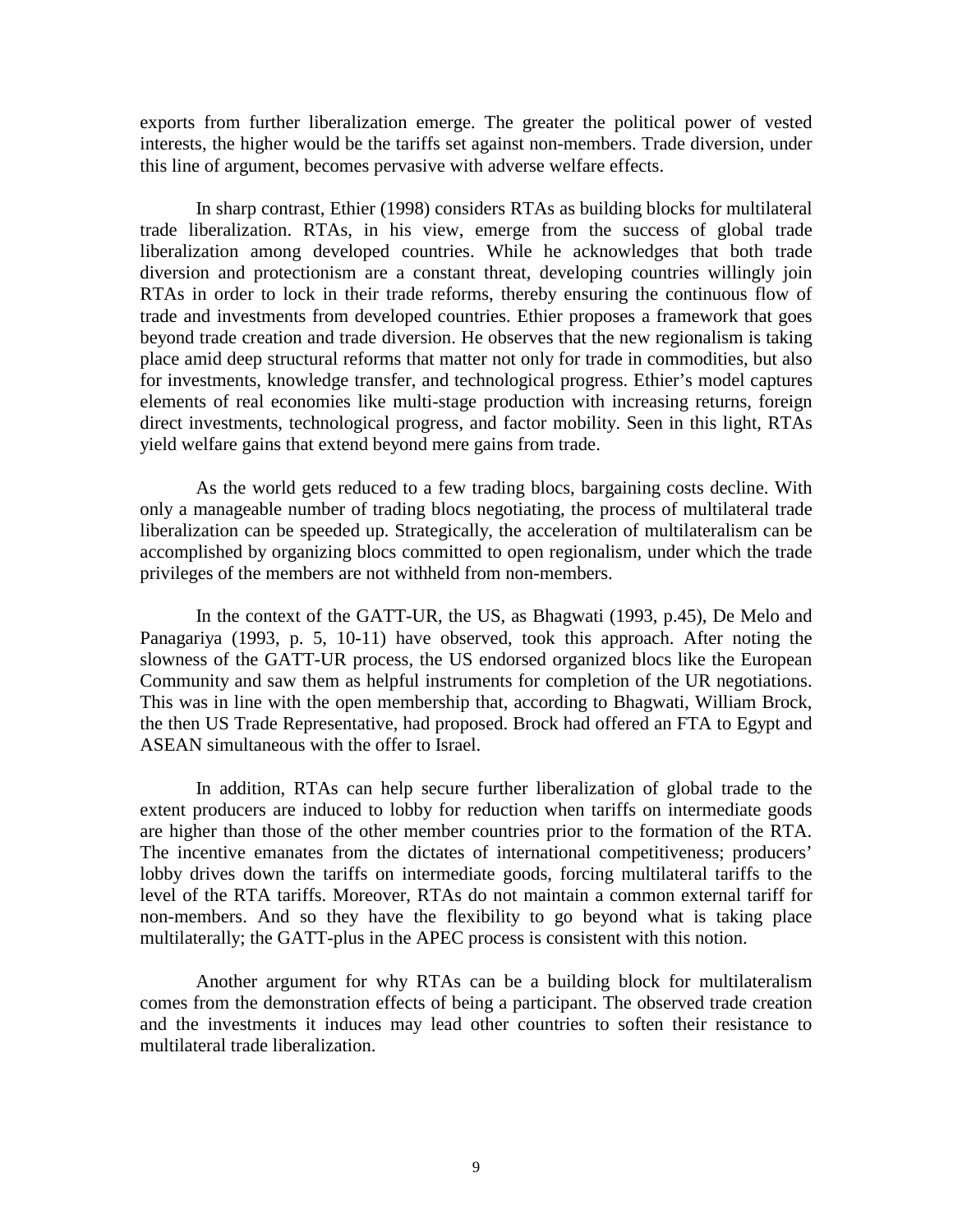exports from further liberalization emerge. The greater the political power of vested interests, the higher would be the tariffs set against non-members. Trade diversion, under this line of argument, becomes pervasive with adverse welfare effects.

 In sharp contrast, Ethier (1998) considers RTAs as building blocks for multilateral trade liberalization. RTAs, in his view, emerge from the success of global trade liberalization among developed countries. While he acknowledges that both trade diversion and protectionism are a constant threat, developing countries willingly join RTAs in order to lock in their trade reforms, thereby ensuring the continuous flow of trade and investments from developed countries. Ethier proposes a framework that goes beyond trade creation and trade diversion. He observes that the new regionalism is taking place amid deep structural reforms that matter not only for trade in commodities, but also for investments, knowledge transfer, and technological progress. Ethier's model captures elements of real economies like multi-stage production with increasing returns, foreign direct investments, technological progress, and factor mobility. Seen in this light, RTAs yield welfare gains that extend beyond mere gains from trade.

 As the world gets reduced to a few trading blocs, bargaining costs decline. With only a manageable number of trading blocs negotiating, the process of multilateral trade liberalization can be speeded up. Strategically, the acceleration of multilateralism can be accomplished by organizing blocs committed to open regionalism, under which the trade privileges of the members are not withheld from non-members.

In the context of the GATT-UR, the US, as Bhagwati (1993, p.45), De Melo and Panagariya (1993, p. 5, 10-11) have observed, took this approach. After noting the slowness of the GATT-UR process, the US endorsed organized blocs like the European Community and saw them as helpful instruments for completion of the UR negotiations. This was in line with the open membership that, according to Bhagwati, William Brock, the then US Trade Representative, had proposed. Brock had offered an FTA to Egypt and ASEAN simultaneous with the offer to Israel.

 In addition, RTAs can help secure further liberalization of global trade to the extent producers are induced to lobby for reduction when tariffs on intermediate goods are higher than those of the other member countries prior to the formation of the RTA. The incentive emanates from the dictates of international competitiveness; producers' lobby drives down the tariffs on intermediate goods, forcing multilateral tariffs to the level of the RTA tariffs. Moreover, RTAs do not maintain a common external tariff for non-members. And so they have the flexibility to go beyond what is taking place multilaterally; the GATT-plus in the APEC process is consistent with this notion.

 Another argument for why RTAs can be a building block for multilateralism comes from the demonstration effects of being a participant. The observed trade creation and the investments it induces may lead other countries to soften their resistance to multilateral trade liberalization.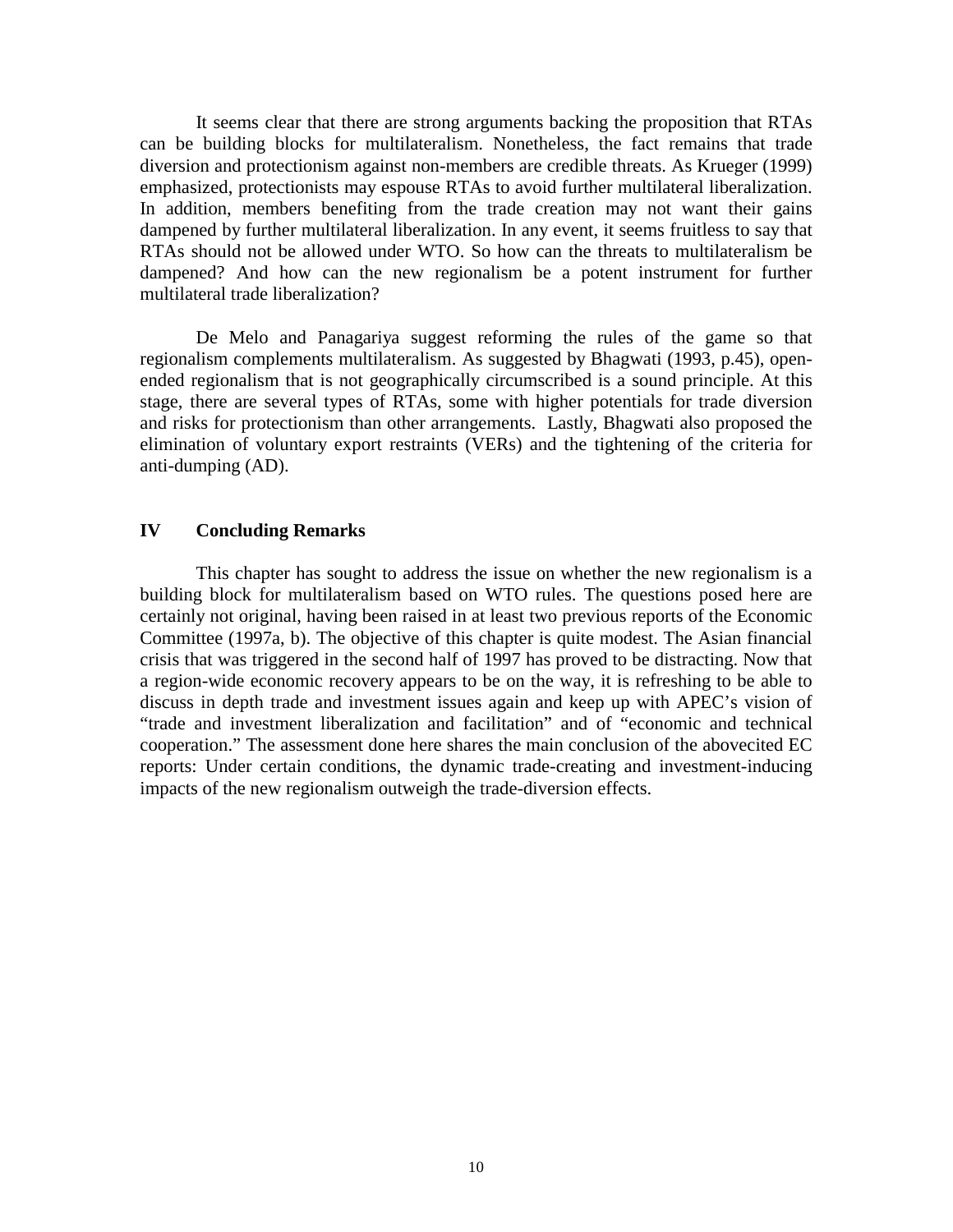It seems clear that there are strong arguments backing the proposition that RTAs can be building blocks for multilateralism. Nonetheless, the fact remains that trade diversion and protectionism against non-members are credible threats. As Krueger (1999) emphasized, protectionists may espouse RTAs to avoid further multilateral liberalization. In addition, members benefiting from the trade creation may not want their gains dampened by further multilateral liberalization. In any event, it seems fruitless to say that RTAs should not be allowed under WTO. So how can the threats to multilateralism be dampened? And how can the new regionalism be a potent instrument for further multilateral trade liberalization?

 De Melo and Panagariya suggest reforming the rules of the game so that regionalism complements multilateralism. As suggested by Bhagwati (1993, p.45), openended regionalism that is not geographically circumscribed is a sound principle. At this stage, there are several types of RTAs, some with higher potentials for trade diversion and risks for protectionism than other arrangements. Lastly, Bhagwati also proposed the elimination of voluntary export restraints (VERs) and the tightening of the criteria for anti-dumping (AD).

#### **IV Concluding Remarks**

 This chapter has sought to address the issue on whether the new regionalism is a building block for multilateralism based on WTO rules. The questions posed here are certainly not original, having been raised in at least two previous reports of the Economic Committee (1997a, b). The objective of this chapter is quite modest. The Asian financial crisis that was triggered in the second half of 1997 has proved to be distracting. Now that a region-wide economic recovery appears to be on the way, it is refreshing to be able to discuss in depth trade and investment issues again and keep up with APEC's vision of "trade and investment liberalization and facilitation" and of "economic and technical cooperation." The assessment done here shares the main conclusion of the abovecited EC reports: Under certain conditions, the dynamic trade-creating and investment-inducing impacts of the new regionalism outweigh the trade-diversion effects.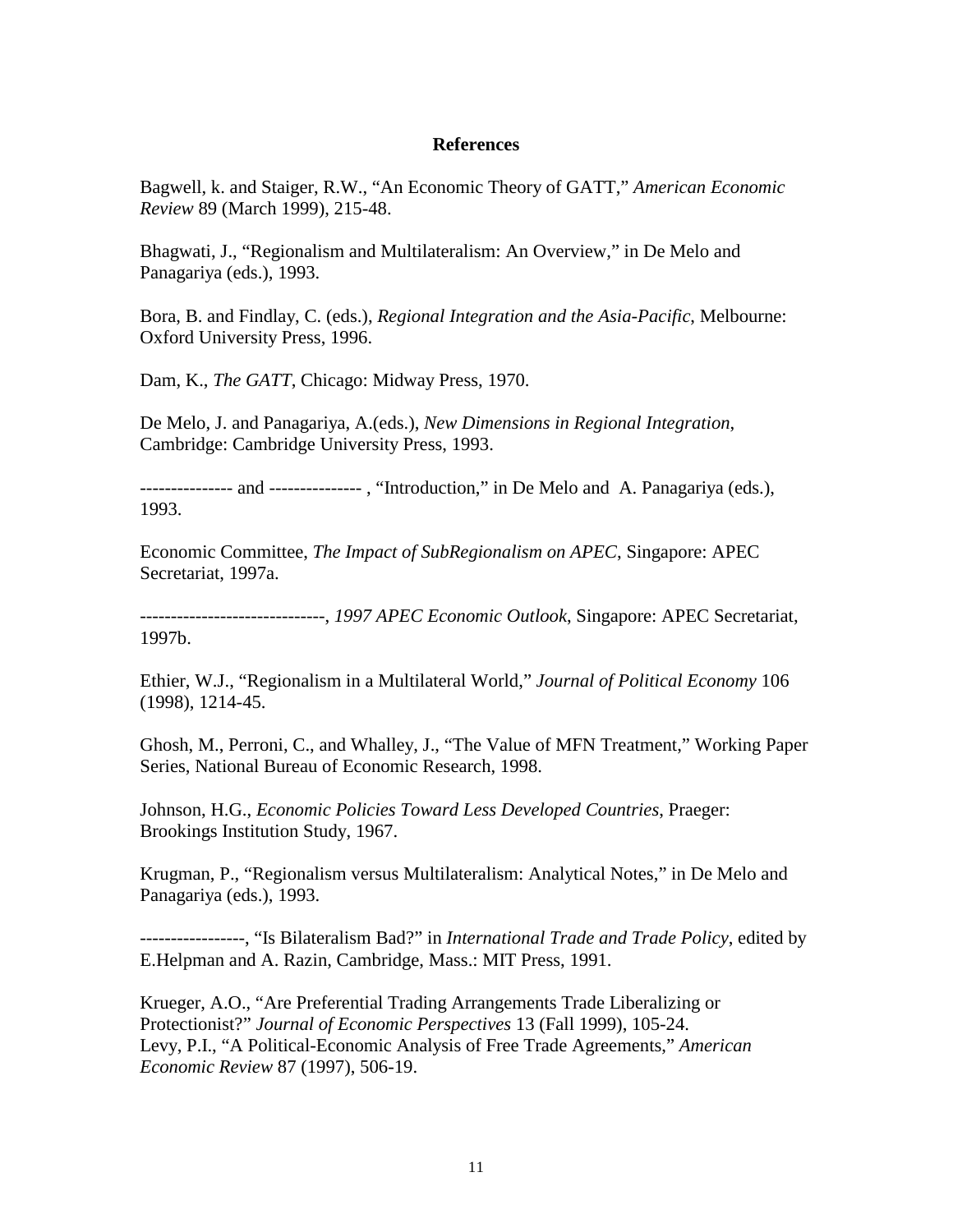#### **References**

Bagwell, k. and Staiger, R.W., "An Economic Theory of GATT," *American Economic Review* 89 (March 1999), 215-48.

Bhagwati, J., "Regionalism and Multilateralism: An Overview," in De Melo and Panagariya (eds.), 1993.

Bora, B. and Findlay, C. (eds.), *Regional Integration and the Asia-Pacific*, Melbourne: Oxford University Press, 1996.

Dam, K., *The GATT*, Chicago: Midway Press, 1970.

De Melo, J. and Panagariya, A.(eds.), *New Dimensions in Regional Integration*, Cambridge: Cambridge University Press, 1993.

--------------- and --------------- , "Introduction," in De Melo and A. Panagariya (eds.), 1993.

Economic Committee, *The Impact of SubRegionalism on APEC*, Singapore: APEC Secretariat, 1997a.

------------------------------, *1997 APEC Economic Outlook*, Singapore: APEC Secretariat, 1997b.

Ethier, W.J., "Regionalism in a Multilateral World," *Journal of Political Economy* 106 (1998), 1214-45.

Ghosh, M., Perroni, C., and Whalley, J., "The Value of MFN Treatment," Working Paper Series, National Bureau of Economic Research, 1998.

Johnson, H.G., *Economic Policies Toward Less Developed Countries*, Praeger: Brookings Institution Study, 1967.

Krugman, P., "Regionalism versus Multilateralism: Analytical Notes," in De Melo and Panagariya (eds.), 1993.

-----------------, "Is Bilateralism Bad?" in *International Trade and Trade Policy*, edited by E.Helpman and A. Razin, Cambridge, Mass.: MIT Press, 1991.

Krueger, A.O., "Are Preferential Trading Arrangements Trade Liberalizing or Protectionist?" *Journal of Economic Perspectives* 13 (Fall 1999), 105-24. Levy, P.I., "A Political-Economic Analysis of Free Trade Agreements," *American Economic Review* 87 (1997), 506-19.